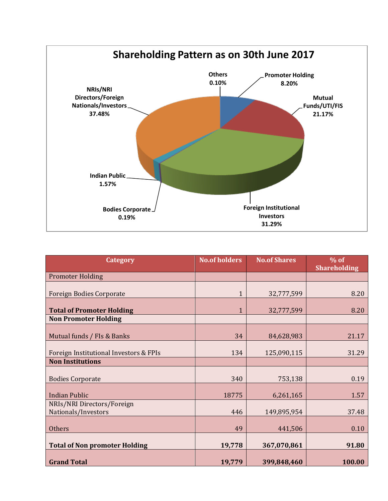

| <b>Category</b>                                   | <b>No.of holders</b> | <b>No.of Shares</b> | $%$ of<br><b>Shareholding</b> |
|---------------------------------------------------|----------------------|---------------------|-------------------------------|
| <b>Promoter Holding</b>                           |                      |                     |                               |
| <b>Foreign Bodies Corporate</b>                   | $\mathbf{1}$         | 32,777,599          | 8.20                          |
| <b>Total of Promoter Holding</b>                  | 1                    | 32,777,599          | 8.20                          |
| <b>Non Promoter Holding</b>                       |                      |                     |                               |
| Mutual funds / FIs & Banks                        | 34                   | 84,628,983          | 21.17                         |
| Foreign Institutional Investors & FPIs            | 134                  | 125,090,115         | 31.29                         |
| <b>Non Institutions</b>                           |                      |                     |                               |
| <b>Bodies Corporate</b>                           | 340                  | 753,138             | 0.19                          |
| <b>Indian Public</b>                              | 18775                | 6,261,165           | 1.57                          |
| NRIs/NRI Directors/Foreign<br>Nationals/Investors | 446                  | 149,895,954         | 37.48                         |
| <b>Others</b>                                     | 49                   | 441,506             | 0.10                          |
| <b>Total of Non promoter Holding</b>              | 19,778               | 367,070,861         | 91.80                         |
| <b>Grand Total</b>                                | 19,779               | 399,848,460         | 100.00                        |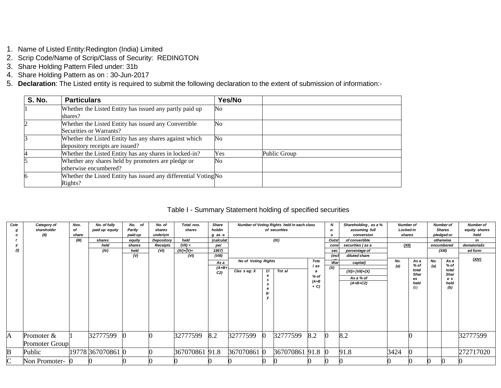- 1. Name of Listed Entity:Redington (India) Limited
- 2. Scrip Code/Name of Scrip/Class of Security: REDINGTON
- 3. Share Holding Pattern Filed under: 31b
- 4. Share Holding Pattern as on : 30-Jun-2017
- 5. **Declaration**: The Listed entity is required to submit the following declaration to the extent of submission of information:-

| <b>S. No.</b> | <b>Particulars</b>                                                                        | Yes/No |              |
|---------------|-------------------------------------------------------------------------------------------|--------|--------------|
|               | Whether the Listed Entity has issued any partly paid up<br>shares?                        | No     |              |
|               | Whether the Listed Entity has issued any Convertible<br>Securities or Warrants?           | No     |              |
|               | Whether the Listed Entity has any shares against which<br>depository receipts are issued? | No     |              |
|               | Whether the Listed Entity has any shares in locked-in?                                    | Yes    | Public Group |
|               | Whether any shares held by promoters are pledge or<br>otherwise encumbered?               | No     |              |
|               | Whether the Listed Entity has issued any differential Voting No<br>Rights?                |        |              |

## Table I - Summary Statement holding of specified securities

| Cate                                        | Category of           | Nos.  | No. of fully      | No. of  | No. of     | Total nos.     | <b>Share</b>   |                                            |    | Number of Voting Rights held in each class |       | N            | Shareholding, as a % | <b>Number of</b> |               |     | <b>Number of</b> | <b>Number of</b> |
|---------------------------------------------|-----------------------|-------|-------------------|---------|------------|----------------|----------------|--------------------------------------------|----|--------------------------------------------|-------|--------------|----------------------|------------------|---------------|-----|------------------|------------------|
|                                             | shareholder           | of    | paid up equity    | Partly  | shares     | shares         | holdin         |                                            |    | of securities                              |       | о.           | assuming full        | Locked in        |               |     | <b>Shares</b>    | equity shares    |
|                                             | (II)                  | share |                   | paid-up | underlyin  |                | g as a         |                                            |    |                                            |       | $\mathbf{o}$ | conversion           | shares           |               |     | pledged or       | held             |
|                                             |                       | (III) | shares            | equity  | Depository | held           | (calculat      |                                            |    | (IX)                                       |       | Outst        | of convertible       |                  |               |     | otherwise        | in               |
|                                             |                       |       | held              | shares  | Receipts   | $(VII) =$      | per            |                                            |    |                                            |       | conv         | securities (as a     | (XII)            |               |     | encumbered       | dematerializ     |
|                                             |                       |       | (IV)              | held    | (VI)       | $(IV)+(V)+$    | 1957)          |                                            |    |                                            |       | sec          | percentage of        |                  |               |     | (XIII)           | ed form          |
|                                             |                       |       |                   | (V)     |            | (VI)           | (VIII)         |                                            |    |                                            |       | (inc)        | diluted share        |                  |               |     |                  |                  |
|                                             |                       |       |                   |         |            |                | As a           | <b>No of Voting Rights</b>                 |    |                                            | Tota  | War          | capital)             | No.              | As a          | No. | As a             | (XIV)            |
|                                             |                       |       |                   |         |            |                | $(A+B+$        |                                            |    |                                            | l as  | (X)          |                      | (a)              | % of<br>total | (a) | $%$ of           |                  |
|                                             |                       |       |                   |         |            |                | C <sub>2</sub> | Clas $s$ eg: $X$<br>СI<br>Tot al<br>$%$ of |    |                                            |       |              | $(XI) = (VII)+(X)$   |                  | <b>Shar</b>   |     | total<br>Shar    |                  |
|                                             |                       |       |                   |         |            |                |                | $(A+B)$<br>s                               |    |                                            |       | As a % of    |                      | es               |               | e s |                  |                  |
|                                             |                       |       |                   |         |            |                |                |                                            |    |                                            |       |              | $(A+B+C2)$           |                  | held          |     | held             |                  |
|                                             |                       |       |                   |         |            |                |                |                                            | е  |                                            | $+ C$ |              |                      |                  | (b)           |     | (b)              |                  |
|                                             |                       |       |                   |         |            |                |                |                                            | g: |                                            |       |              |                      |                  |               |     |                  |                  |
|                                             |                       |       |                   |         |            |                |                |                                            |    |                                            |       |              |                      |                  |               |     |                  |                  |
|                                             |                       |       |                   |         |            |                |                |                                            |    |                                            |       |              |                      |                  |               |     |                  |                  |
|                                             |                       |       |                   |         |            |                |                |                                            |    |                                            |       |              |                      |                  |               |     |                  |                  |
|                                             |                       |       |                   |         |            |                |                |                                            |    |                                            |       |              |                      |                  |               |     |                  |                  |
|                                             |                       |       |                   |         |            |                |                |                                            |    |                                            |       |              |                      |                  |               |     |                  |                  |
|                                             |                       |       |                   |         |            |                |                |                                            |    |                                            |       |              |                      |                  |               |     |                  |                  |
|                                             |                       |       |                   |         |            |                |                |                                            |    |                                            |       |              |                      |                  |               |     |                  |                  |
| A                                           | Promoter $&$          |       | 32777599          |         |            | 32777599       | 8.2            | 32777599                                   |    | 32777599                                   | 8.2   |              | 8.2                  |                  |               |     |                  | 32777599         |
|                                             | <b>Promoter Group</b> |       |                   |         |            |                |                |                                            |    |                                            |       |              |                      |                  |               |     |                  |                  |
|                                             |                       |       |                   |         |            |                |                |                                            |    |                                            |       |              |                      |                  |               |     |                  |                  |
| B                                           | Public                |       | 19778 367070861 0 |         |            | 367070861 91.8 |                |                                            |    |                                            |       |              | 91.8                 | 3424             |               |     |                  | 272717020        |
| $\mathsf{C}^{\scriptscriptstyle\mathsf{I}}$ | Non Promoter- 0       |       | Ю                 |         |            |                |                | 367070861 0<br>367070861 91.8              |    |                                            |       |              |                      |                  |               |     |                  |                  |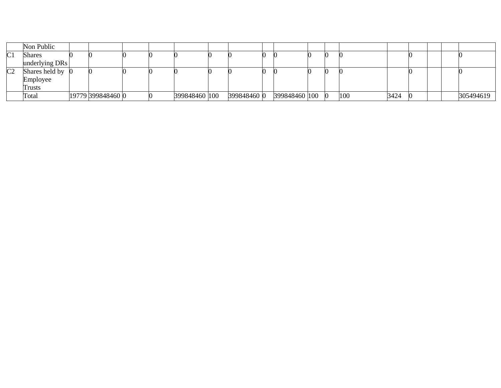|                | Non Public     |                   |  |               |             |               |  |     |      |  |           |
|----------------|----------------|-------------------|--|---------------|-------------|---------------|--|-----|------|--|-----------|
| $\sim$ 1<br>◡  | Shares         |                   |  |               |             |               |  |     |      |  |           |
|                | underlying DRs |                   |  |               |             |               |  |     |      |  |           |
| C <sub>2</sub> | Shares held by |                   |  |               |             |               |  |     |      |  |           |
|                | Employee       |                   |  |               |             |               |  |     |      |  |           |
|                | <b>Trusts</b>  |                   |  |               |             |               |  |     |      |  |           |
|                | Total          | 19779 399848460 0 |  | 399848460 100 | 399848460 0 | 399848460 100 |  | 100 | 3424 |  | 305494619 |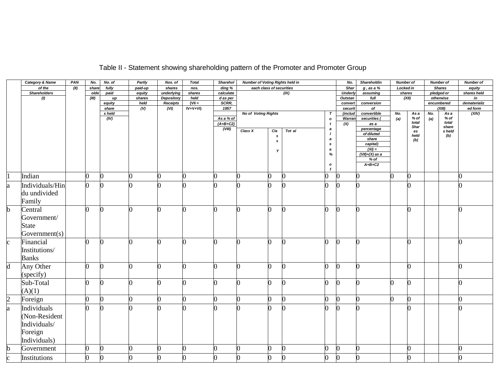|                       | <b>Category &amp; Name</b> | PAN  | No.            | No. of            | Partly      | Nos. of                              | <b>Total</b>     | Sharehol          | <b>Number of Voting Rights held in</b> |     |        |                   | No.                | Shareholdin        | <b>Number of</b> |                  |     | <b>Number of</b>     | Number of          |
|-----------------------|----------------------------|------|----------------|-------------------|-------------|--------------------------------------|------------------|-------------------|----------------------------------------|-----|--------|-------------------|--------------------|--------------------|------------------|------------------|-----|----------------------|--------------------|
|                       | of the                     | (II) | share          | fully             | paid-up     | shares                               | nos.             | ding %            | each class of securities               |     |        |                   | Shar               | $g$ , as a $%$     | <b>Locked in</b> |                  |     | <b>Shares</b>        | equity             |
|                       | <b>Shareholders</b>        |      | olde           | paid              | equity      | underlying                           | shares           | calculate         |                                        |     | (IX)   |                   | Underly            | assuming           | shares           |                  |     | pledged or           | shares held        |
|                       | (1)                        |      | (III)          | up                | shares      | <b>Depository</b><br><b>Receipts</b> | held<br>$(VII =$ | d as per<br>SCRR, |                                        |     |        |                   | Outstan            | full<br>conversion | (XII)            |                  |     | otherwise            | in<br>dematerializ |
|                       |                            |      |                | equity<br>share   | held<br>(V) | (VI)                                 | $IV+V+VI)$       | 1957              |                                        |     |        |                   | convert<br>securit | of                 |                  |                  |     | encumbered<br>(XIII) | ed form            |
|                       |                            |      |                | s held            |             |                                      |                  |                   | <b>No of Voting Rights</b>             |     |        | Τ                 | (includ            | convertible        | No.              | As a             | No. | As a                 | (XIV)              |
|                       |                            |      |                | $\overline{(IV)}$ |             |                                      |                  | As a % of         |                                        |     |        | $\mathbf{o}$      | Warran             | securities (       | (a)              | % of             | (a) | % of                 |                    |
|                       |                            |      |                |                   |             |                                      |                  | $(A+B+C2)$        |                                        |     |        | t                 | (X)                | as a               |                  | total            |     | total                |                    |
|                       |                            |      |                |                   |             |                                      |                  | (VIII)            | Class X                                | Cla | Tot al | $\boldsymbol{a}$  |                    | percentage         |                  | Shar<br>es       |     | share<br>s held      |                    |
|                       |                            |      |                |                   |             |                                      |                  |                   |                                        | s   |        | $\prime$          |                    | of diluted         |                  | held             |     | (b)                  |                    |
|                       |                            |      |                |                   |             |                                      |                  |                   |                                        | s   |        | a<br>$\mathbf{s}$ |                    | share<br>capital)  |                  | (b)              |     |                      |                    |
|                       |                            |      |                |                   |             |                                      |                  |                   |                                        |     |        | $\boldsymbol{a}$  |                    | $(XI) =$           |                  |                  |     |                      |                    |
|                       |                            |      |                |                   |             |                                      |                  |                   |                                        |     |        | $\%$              |                    | $(VII)+(X)$ as a   |                  |                  |     |                      |                    |
|                       |                            |      |                |                   |             |                                      |                  |                   |                                        |     |        |                   |                    | $%$ of             |                  |                  |     |                      |                    |
|                       |                            |      |                |                   |             |                                      |                  |                   |                                        |     |        | $\mathbf{o}$<br>f |                    | $A+B+C2$           |                  |                  |     |                      |                    |
|                       | Indian                     |      | $\overline{0}$ | $\overline{0}$    | 0           |                                      |                  |                   |                                        | 0   |        |                   | $\bf{0}$           |                    | ∩                | 0                |     |                      |                    |
| a                     | Individuals/Hin            |      | $\Omega$       | ∩                 |             |                                      |                  |                   |                                        | ∩   |        |                   |                    |                    |                  | ∩                |     |                      |                    |
|                       | du undivided               |      |                |                   |             |                                      |                  |                   |                                        |     |        |                   |                    |                    |                  |                  |     |                      |                    |
|                       |                            |      |                |                   |             |                                      |                  |                   |                                        |     |        |                   |                    |                    |                  |                  |     |                      |                    |
|                       | Family                     |      |                |                   |             |                                      |                  |                   |                                        |     |        |                   |                    |                    |                  |                  |     |                      |                    |
|                       | Central                    |      | 0              | $\overline{0}$    | ∩           |                                      |                  |                   |                                        | 0   |        | ∩                 | <sup>0</sup>       |                    |                  | ∩                |     |                      |                    |
|                       | Government/                |      |                |                   |             |                                      |                  |                   |                                        |     |        |                   |                    |                    |                  |                  |     |                      |                    |
|                       | <b>State</b>               |      |                |                   |             |                                      |                  |                   |                                        |     |        |                   |                    |                    |                  |                  |     |                      |                    |
|                       |                            |      |                |                   |             |                                      |                  |                   |                                        |     |        |                   |                    |                    |                  |                  |     |                      |                    |
|                       | Government(s)              |      |                |                   |             |                                      |                  |                   |                                        |     |        |                   |                    |                    |                  |                  |     |                      |                    |
| $\mathbf{c}$          | Financial                  |      | n              | O                 | ∩           |                                      |                  |                   |                                        | n   |        |                   | <sup>0</sup>       |                    |                  | n                |     |                      |                    |
|                       | Institutions/              |      |                |                   |             |                                      |                  |                   |                                        |     |        |                   |                    |                    |                  |                  |     |                      |                    |
|                       | <b>Banks</b>               |      |                |                   |             |                                      |                  |                   |                                        |     |        |                   |                    |                    |                  |                  |     |                      |                    |
| d                     | Any Other                  |      | O.             | O                 | ∩           |                                      |                  |                   |                                        | n   |        |                   | <sup>0</sup>       |                    |                  | O                |     |                      |                    |
|                       |                            |      |                |                   |             |                                      |                  |                   |                                        |     |        |                   |                    |                    |                  |                  |     |                      |                    |
|                       | (specify)                  |      |                |                   |             |                                      |                  |                   |                                        |     |        |                   |                    |                    |                  |                  |     |                      |                    |
|                       | Sub-Total                  |      | 0              | 0                 | 0           |                                      |                  |                   |                                        | 0   |        | O.                | $\mathbf{0}$       | n                  |                  | 0                |     |                      |                    |
|                       | (A)(1)                     |      |                |                   |             |                                      |                  |                   |                                        |     |        |                   |                    |                    |                  |                  |     |                      |                    |
| $\mathcal{D}_{\cdot}$ | Foreign                    |      | $\overline{0}$ | $\bf{0}$          | O.          | ∩                                    | ∩                |                   |                                        | O   |        |                   | $\bf{0}$           | n                  | ∩                | $\overline{0}$   |     |                      | U                  |
| a                     | Individuals                |      | n              | n                 |             |                                      |                  |                   |                                        | n   |        |                   | n                  |                    |                  | n                |     |                      |                    |
|                       | (Non-Resident              |      |                |                   |             |                                      |                  |                   |                                        |     |        |                   |                    |                    |                  |                  |     |                      |                    |
|                       | Individuals/               |      |                |                   |             |                                      |                  |                   |                                        |     |        |                   |                    |                    |                  |                  |     |                      |                    |
|                       |                            |      |                |                   |             |                                      |                  |                   |                                        |     |        |                   |                    |                    |                  |                  |     |                      |                    |
|                       | Foreign                    |      |                |                   |             |                                      |                  |                   |                                        |     |        |                   |                    |                    |                  |                  |     |                      |                    |
|                       | Individuals)               |      |                |                   |             |                                      |                  |                   |                                        |     |        |                   |                    |                    |                  |                  |     |                      |                    |
|                       | Government                 |      | $\overline{0}$ | $\overline{0}$    | O.          |                                      |                  |                   |                                        | 0   |        |                   | $\bf{0}$           |                    |                  | $\overline{0}$   |     |                      | ∩                  |
|                       | Institutions               |      | $\overline{0}$ | $\overline{0}$    | 0           |                                      |                  |                   |                                        | 0   |        |                   | $\boldsymbol{0}$   |                    |                  | $\boldsymbol{0}$ |     |                      | ∩                  |
|                       |                            |      |                |                   |             |                                      |                  |                   |                                        |     |        |                   |                    |                    |                  |                  |     |                      |                    |

# Table II - Statement showing shareholding pattern of the Promoter and Promoter Group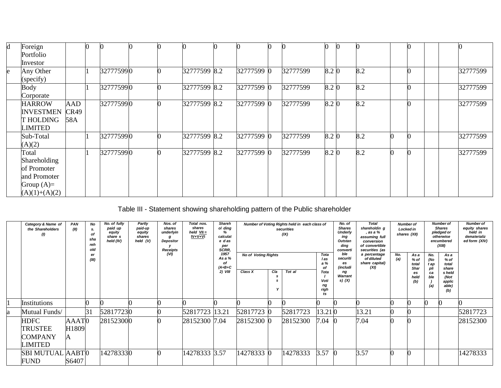| d | Foreign          |            | $\Omega$ |           |  |              |            |          | ∩     |     |  |  |          |
|---|------------------|------------|----------|-----------|--|--------------|------------|----------|-------|-----|--|--|----------|
|   | Portfolio        |            |          |           |  |              |            |          |       |     |  |  |          |
|   | Investor         |            |          |           |  |              |            |          |       |     |  |  |          |
| e | Any Other        |            | 11       | 327775990 |  | 32777599 8.2 | 32777599 0 | 32777599 | 8.2 0 | 8.2 |  |  | 32777599 |
|   | (specify)        |            |          |           |  |              |            |          |       |     |  |  |          |
|   | Body             |            |          | 327775990 |  | 32777599 8.2 | 32777599 0 | 32777599 | 8.2 0 | 8.2 |  |  | 32777599 |
|   | Corporate        |            |          |           |  |              |            |          |       |     |  |  |          |
|   | <b>HARROW</b>    | <b>AAD</b> |          | 327775990 |  | 32777599 8.2 | 32777599 0 | 32777599 | 8.2 0 | 8.2 |  |  | 32777599 |
|   | <b>INVESTMEN</b> | CR49       |          |           |  |              |            |          |       |     |  |  |          |
|   | <b>THOLDING</b>  | 58A        |          |           |  |              |            |          |       |     |  |  |          |
|   | LIMITED          |            |          |           |  |              |            |          |       |     |  |  |          |
|   | Sub-Total        |            |          | 327775990 |  | 32777599 8.2 | 32777599 0 | 32777599 | 8.2 0 | 8.2 |  |  | 32777599 |
|   | (A)(2)           |            |          |           |  |              |            |          |       |     |  |  |          |
|   | Total            |            |          | 327775990 |  | 32777599 8.2 | 32777599 0 | 32777599 | 8.2 0 | 8.2 |  |  | 32777599 |
|   | Shareholding     |            |          |           |  |              |            |          |       |     |  |  |          |
|   | of Promoter      |            |          |           |  |              |            |          |       |     |  |  |          |
|   | and Promoter     |            |          |           |  |              |            |          |       |     |  |  |          |
|   | Group $(A)=$     |            |          |           |  |              |            |          |       |     |  |  |          |
|   | $(A)(1)+(A)(2)$  |            |          |           |  |              |            |          |       |     |  |  |          |

## Table III - Statement showing shareholding pattern of the Public shareholder

|   | Category & Name of<br>the Shareholders<br>$\left( I\right)$ | PAN<br>(II)                     | No<br>s.<br>οf<br>sha<br>reh<br>old<br>er<br>(III) | No. of fully<br>paid up<br>equity<br>share s<br>held (IV) | Partly<br>paid-up<br>equity<br>shares<br>held (V) | Nos. of<br>shares<br>underlyin<br>g<br>Depositor<br>Receipts<br>(VI) | Total nos.<br>shares<br>held $VII =$<br>$IV + V + VI$ | <b>Shareh</b><br>ol ding<br>calculat<br>e das<br>per<br>SCRR,<br>1957<br>As a %<br>οf<br>$(A+B+C$<br>$2)$ VIII | <b>No of Voting Rights</b><br>Class X | Cla | Number of Voting Rights held in each class of<br>securities<br>(IX)<br>Tot al | Tota<br>l as<br>a%<br>of<br>Tota<br>Voti<br>ng<br>righ<br>ts | No. of<br><b>Shares</b><br><b>Underly</b><br>ing<br>Outstan<br>ding<br>converti<br>ble<br>securiti<br>es<br>(includi<br>ng<br>Warrant<br>s) $(X)$ | <b>Total</b><br>shareholdin g<br>. as a %<br>assuming full<br>conversion<br>of convertible<br>securities (as<br>a percentage<br>of diluted<br>share capital)<br>(XI) | No.<br>(a) | Number of<br><b>Locked in</b><br>shares (XII)<br>As a<br>% of<br>total<br>Shar<br>es<br>held<br>(b) | No.<br>(No<br>t ap<br>pli<br>са<br>ble<br>(a) | <b>Number of</b><br><b>Shares</b><br>pledged or<br>otherwise<br>encumbered<br>(XIII)<br>As a<br>% of<br>total<br>share<br>s held<br>(Not<br>applic<br>able)<br>(b) | <b>Number of</b><br>equity shares<br>held in<br>dematerializ<br>ed form (XIV) |
|---|-------------------------------------------------------------|---------------------------------|----------------------------------------------------|-----------------------------------------------------------|---------------------------------------------------|----------------------------------------------------------------------|-------------------------------------------------------|----------------------------------------------------------------------------------------------------------------|---------------------------------------|-----|-------------------------------------------------------------------------------|--------------------------------------------------------------|---------------------------------------------------------------------------------------------------------------------------------------------------|----------------------------------------------------------------------------------------------------------------------------------------------------------------------|------------|-----------------------------------------------------------------------------------------------------|-----------------------------------------------|--------------------------------------------------------------------------------------------------------------------------------------------------------------------|-------------------------------------------------------------------------------|
|   | Institutions                                                |                                 |                                                    |                                                           |                                                   |                                                                      |                                                       |                                                                                                                |                                       |     |                                                                               |                                                              |                                                                                                                                                   |                                                                                                                                                                      |            |                                                                                                     |                                               |                                                                                                                                                                    |                                                                               |
| а | Mutual Funds/                                               |                                 | 31                                                 | 528177230                                                 |                                                   |                                                                      | 52817723                                              | 13.21                                                                                                          | 52817723 0                            |     | 52817723                                                                      | 13.210                                                       |                                                                                                                                                   | 13.21                                                                                                                                                                |            |                                                                                                     |                                               |                                                                                                                                                                    | 52817723                                                                      |
|   | <b>HDFC</b><br>TRUSTEE<br><b>COMPANY</b><br>LIMITED         | AAAT <sub>0</sub><br>H1809<br>A |                                                    | 281523000                                                 |                                                   |                                                                      | 28152300 7.04                                         |                                                                                                                | 28152300 0                            |     | 28152300                                                                      | 7.04                                                         |                                                                                                                                                   | 7.04                                                                                                                                                                 |            |                                                                                                     |                                               |                                                                                                                                                                    | 28152300                                                                      |
|   | <b>SBI MUTUAL AABT0</b><br><b>FUND</b>                      | S6407                           |                                                    | 142783330                                                 |                                                   |                                                                      | 14278333 3.57                                         |                                                                                                                | 14278333 0                            |     | 14278333                                                                      | 3.57                                                         | - (1)                                                                                                                                             | 3.57                                                                                                                                                                 |            |                                                                                                     |                                               |                                                                                                                                                                    | 14278333                                                                      |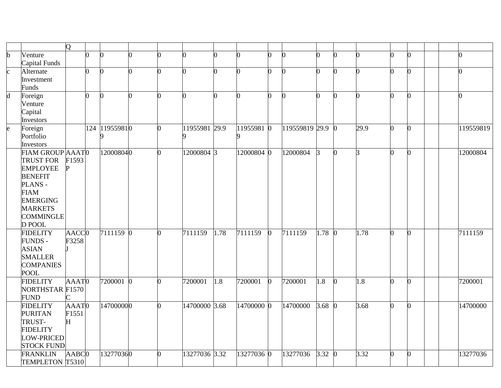|                |                            | $\overline{O}$      |     |                    |   |          |               |      |            |              |                |         |          |      |              |              |  |           |
|----------------|----------------------------|---------------------|-----|--------------------|---|----------|---------------|------|------------|--------------|----------------|---------|----------|------|--------------|--------------|--|-----------|
| b              | Venture                    |                     | 0   | $\bf{0}$           |   | ∩        | ∩             |      |            | O            |                |         |          | ∩    | ∩            |              |  | ∩         |
|                | Capital Funds              |                     |     |                    |   |          |               |      |            |              |                |         |          |      |              |              |  |           |
| $\mathbf{c}$   | Alternate                  |                     | O.  | $\overline{0}$     | 0 | O.       | O.            | 0    | h          | n            | ∩              | 0       |          | 0    | O            | ∩            |  | 0         |
|                | Investment                 |                     |     |                    |   |          |               |      |            |              |                |         |          |      |              |              |  |           |
|                | Funds                      |                     |     |                    |   |          |               |      |            |              |                |         |          |      |              |              |  |           |
| $\overline{d}$ | Foreign                    |                     | 0   | $\overline{0}$     | ∩ | 0        | O.            | 0    | n          | <sup>0</sup> | 0              | 0       | n        | 0    | O            | $\Omega$     |  | 0         |
|                | Venture                    |                     |     |                    |   |          |               |      |            |              |                |         |          |      |              |              |  |           |
|                | Capital                    |                     |     |                    |   |          |               |      |            |              |                |         |          |      |              |              |  |           |
|                | Investors                  |                     |     |                    |   |          |               |      |            |              |                |         |          |      |              |              |  |           |
| e              | Foreign                    |                     | 124 | 119559810          |   |          | 11955981 29.9 |      | 11955981 0 |              | 119559819 29.9 |         |          | 29.9 | <sup>o</sup> | ∩            |  | 119559819 |
|                | Portfolio                  |                     |     | 9                  |   |          | 9             |      |            |              |                |         |          |      |              |              |  |           |
|                | Investors                  |                     |     |                    |   |          |               |      |            |              |                |         |          |      |              |              |  |           |
|                | FIAM GROUP AAATO           |                     |     | 120008040          |   | 0        | 12000804 3    |      | 12000804 0 |              | 12000804       | $\beta$ | n.       | 3    | O            | <sup>0</sup> |  | 12000804  |
|                | <b>TRUST FOR</b>           | F1593               |     |                    |   |          |               |      |            |              |                |         |          |      |              |              |  |           |
|                | <b>EMPLOYEE</b>            |                     |     |                    |   |          |               |      |            |              |                |         |          |      |              |              |  |           |
|                | <b>BENEFIT</b>             |                     |     |                    |   |          |               |      |            |              |                |         |          |      |              |              |  |           |
|                | PLANS-                     |                     |     |                    |   |          |               |      |            |              |                |         |          |      |              |              |  |           |
|                | <b>FIAM</b>                |                     |     |                    |   |          |               |      |            |              |                |         |          |      |              |              |  |           |
|                | <b>EMERGING</b>            |                     |     |                    |   |          |               |      |            |              |                |         |          |      |              |              |  |           |
|                | <b>MARKETS</b>             |                     |     |                    |   |          |               |      |            |              |                |         |          |      |              |              |  |           |
|                | <b>COMMINGLE</b><br>D POOL |                     |     |                    |   |          |               |      |            |              |                |         |          |      |              |              |  |           |
|                | <b>FIDELITY</b>            | AACC <sub>0</sub>   |     | $\sqrt{7111159}$ 0 |   | O.       | 7111159       | 1.78 | 7111159    | $\bf{0}$     | 7111159        | 1.78    | $\Omega$ | 1.78 | 0            | 0            |  | 7111159   |
|                | <b>FUNDS -</b>             | F3258               |     |                    |   |          |               |      |            |              |                |         |          |      |              |              |  |           |
|                | <b>ASIAN</b>               |                     |     |                    |   |          |               |      |            |              |                |         |          |      |              |              |  |           |
|                | <b>SMALLER</b>             |                     |     |                    |   |          |               |      |            |              |                |         |          |      |              |              |  |           |
|                | <b>COMPANIES</b>           |                     |     |                    |   |          |               |      |            |              |                |         |          |      |              |              |  |           |
|                | <b>POOL</b>                |                     |     |                    |   |          |               |      |            |              |                |         |          |      |              |              |  |           |
|                | <b>FIDELITY</b>            | AAAT0               |     | 7200001 0          |   | O.       | 7200001       | 1.8  | 7200001    | $\bf{0}$     | 7200001        | 1.8     | $\Omega$ | 1.8  | O            | U            |  | 7200001   |
|                | <b>NORTHSTAR F1570</b>     |                     |     |                    |   |          |               |      |            |              |                |         |          |      |              |              |  |           |
|                | <b>FUND</b>                |                     |     |                    |   |          |               |      |            |              |                |         |          |      |              |              |  |           |
|                | <b>FIDELITY</b>            | AAAT0               |     | 147000000          |   | $\Omega$ | 14700000 3.68 |      | 14700000 0 |              | 14700000       | 3.68    |          | 3.68 | n            |              |  | 14700000  |
|                | <b>PURITAN</b>             | F1551               |     |                    |   |          |               |      |            |              |                |         |          |      |              |              |  |           |
|                | TRUST-                     | H                   |     |                    |   |          |               |      |            |              |                |         |          |      |              |              |  |           |
|                | <b>FIDELITY</b>            |                     |     |                    |   |          |               |      |            |              |                |         |          |      |              |              |  |           |
|                | LOW-PRICED                 |                     |     |                    |   |          |               |      |            |              |                |         |          |      |              |              |  |           |
|                | <b>STOCK FUND</b>          |                     |     |                    |   |          |               |      |            |              |                |         |          |      |              |              |  |           |
|                | <b>FRANKLIN</b>            | $AABC$ <sup>0</sup> |     | 132770360          |   | 0        | 13277036 3.32 |      | 13277036 0 |              | 13277036       | 3.32    |          | 3.32 | O            | <sup>0</sup> |  | 13277036  |
|                | TEMPLETON T5310            |                     |     |                    |   |          |               |      |            |              |                |         |          |      |              |              |  |           |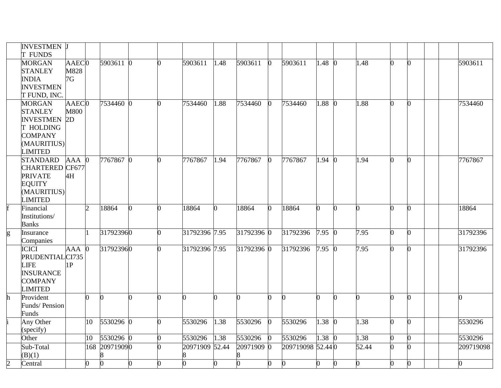|                | <b>INVESTMEN J</b><br><b>T FUNDS</b>                                                                                |                                        |                  |               |          |   |                |      |            |              |                  |              |          |       |   |              |           |
|----------------|---------------------------------------------------------------------------------------------------------------------|----------------------------------------|------------------|---------------|----------|---|----------------|------|------------|--------------|------------------|--------------|----------|-------|---|--------------|-----------|
|                | <b>MORGAN</b><br><b>STANLEY</b><br><b>INDIA</b><br><b>INVESTMEN</b><br>T FUND, INC.                                 | AAEC <sub>0</sub><br>M828<br>7G        |                  | 5903611 0     |          |   | 5903611        | 1.48 | 5903611    | <sup>0</sup> | 5903611          | 1.48 0       |          | 1.48  |   | <sub>0</sub> | 5903611   |
|                | <b>MORGAN</b><br><b>STANLEY</b><br><b>INVESTMEN</b><br>T HOLDING<br><b>COMPANY</b><br>(MAURITIUS)<br><b>LIMITED</b> | AAEC <sub>0</sub><br><b>M800</b><br>2D |                  | 7534460 0     |          | 0 | 7534460        | 1.88 | 7534460    | <sup>0</sup> | 7534460          | 1.88 0       |          | 1.88  |   | $\bf{0}$     | 7534460   |
|                | <b>STANDARD</b><br>CHARTERED CF677<br><b>PRIVATE</b><br><b>EQUITY</b><br>(MAURITIUS)<br><b>LIMITED</b>              | $AAA$ 0<br>4H                          |                  | 7767867 0     |          | 0 | 7767867        | 1.94 | 7767867    | $\bf{0}$     | 7767867          | $1.94 \; 0$  |          | 1.94  | n | $\Omega$     | 7767867   |
|                | Financial<br>Institutions/<br><b>Banks</b>                                                                          |                                        | $\overline{2}$   | 18864         | 0        | ∩ | 18864          | n    | 18864      | 0            | 18864            | O.           | n        | 0     |   | O.           | 18864     |
| g              | Insurance<br>Companies                                                                                              |                                        | I1.              | 317923960     |          | ∩ | 31792396 7.95  |      | 31792396 0 |              | 31792396         | $7.95 \ \ 0$ |          | 7.95  |   | $\Omega$     | 31792396  |
|                | <b>ICICI</b><br>PRUDENTIALCI735<br><b>LIFE</b><br><b>INSURANCE</b><br><b>COMPANY</b><br><b>LIMITED</b>              | AAA<br>1P                              |                  | 317923960     |          | U | 31792396 7.95  |      | 31792396 0 |              | 31792396         | 7.95 0       |          | 7.95  |   | $\Omega$     | 31792396  |
| $\mathbf{h}$   | Provident<br>Funds/Pension<br>Funds                                                                                 |                                        | O.               | IO.           | $\Omega$ |   |                | n    |            |              | <sup>0</sup>     | ∩            | 0        | ∩     |   | $\Omega$     |           |
|                | Any Other<br>(specify)                                                                                              |                                        | 10 <sup>10</sup> | 5530296 0     |          |   | 5530296        | 1.38 | 5530296    | 0            | 5530296          | 1.38         | $\Omega$ | 1.38  |   | <sup>0</sup> | 5530296   |
|                | Other                                                                                                               |                                        | 10               | 5530296 0     |          | 0 | 5530296        | 1.38 | 5530296    | 0            | 5530296          | $1.38 \ 0$   |          | 1.38  |   | O.           | 5530296   |
|                | Sub-Total<br>(B)(1)                                                                                                 |                                        |                  | 168 209719090 |          |   | 20971909 52.44 |      | 20971909 0 |              | 209719098 52.440 |              |          | 52.44 |   | $\Omega$     | 209719098 |
| $\overline{c}$ | Central                                                                                                             |                                        | 0                | n             | 0        |   |                |      |            |              | $\Omega$         | $\Omega$     |          | O.    |   | $\Omega$     |           |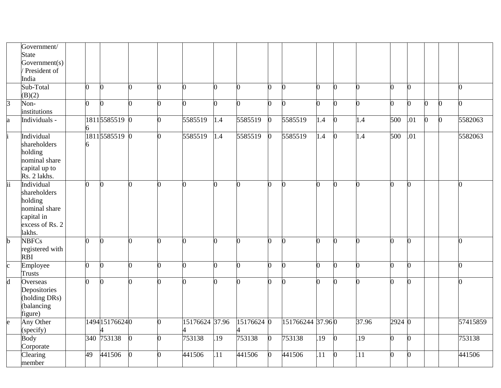|                         | Government/              |                |                |                |                |                |                  |            |              |                  |          |              |                  |                     |                |   |              |              |
|-------------------------|--------------------------|----------------|----------------|----------------|----------------|----------------|------------------|------------|--------------|------------------|----------|--------------|------------------|---------------------|----------------|---|--------------|--------------|
|                         | <b>State</b>             |                |                |                |                |                |                  |            |              |                  |          |              |                  |                     |                |   |              |              |
|                         | Government(s)            |                |                |                |                |                |                  |            |              |                  |          |              |                  |                     |                |   |              |              |
|                         | President of             |                |                |                |                |                |                  |            |              |                  |          |              |                  |                     |                |   |              |              |
|                         | India                    |                |                |                |                |                |                  |            |              |                  |          |              |                  |                     |                |   |              |              |
|                         | Sub-Total                | 0              | n              | O.             | 0              | n.             |                  | ∩          | O.           | n                | ∩        | n            |                  |                     | O.             |   |              | <sup>0</sup> |
|                         | (B)(2)                   |                |                |                |                |                |                  |            |              |                  |          |              |                  |                     |                |   |              |              |
| $\overline{3}$          | Non-<br>institutions     | $\overline{0}$ |                | ∩              | 0              | ∩              |                  |            | 0            | n                |          |              |                  |                     | 0              | 0 | <sup>0</sup> | ∩            |
|                         | Individuals -            |                | 18115585519    | $\overline{0}$ | 0              | 5585519        | 1.4              | 5585519    | <sup>0</sup> | 5585519          | 1.4      | n            | 1.4              | 500                 | .01            | 0 | <sup>0</sup> | 5582063      |
| a                       |                          |                |                |                |                |                |                  |            |              |                  |          |              |                  |                     |                |   |              |              |
|                         | Individual               |                | 1811 5585519 0 |                | 0              | 5585519        |                  | 5585519    | $\Omega$     | 5585519          |          | <sup>0</sup> | 1.4              | 500                 | .01            |   |              | 5582063      |
|                         |                          |                |                |                |                |                | 1.4              |            |              |                  | 1.4      |              |                  |                     |                |   |              |              |
|                         | shareholders             |                |                |                |                |                |                  |            |              |                  |          |              |                  |                     |                |   |              |              |
|                         | holding<br>nominal share |                |                |                |                |                |                  |            |              |                  |          |              |                  |                     |                |   |              |              |
|                         |                          |                |                |                |                |                |                  |            |              |                  |          |              |                  |                     |                |   |              |              |
|                         | capital up to            |                |                |                |                |                |                  |            |              |                  |          |              |                  |                     |                |   |              |              |
|                         | Rs. 2 lakhs.             |                |                |                |                |                |                  |            |              |                  |          |              |                  |                     |                |   |              |              |
| $\overline{ii}$         | Individual               | $\overline{0}$ |                | 0              | $\Omega$       | n.             | n                |            | n.           | n                | $\Omega$ | n.           | ∩                |                     | $\overline{0}$ |   |              |              |
|                         | shareholders             |                |                |                |                |                |                  |            |              |                  |          |              |                  |                     |                |   |              |              |
|                         | holding                  |                |                |                |                |                |                  |            |              |                  |          |              |                  |                     |                |   |              |              |
|                         | nominal share            |                |                |                |                |                |                  |            |              |                  |          |              |                  |                     |                |   |              |              |
|                         | capital in               |                |                |                |                |                |                  |            |              |                  |          |              |                  |                     |                |   |              |              |
|                         | excess of Rs. 2          |                |                |                |                |                |                  |            |              |                  |          |              |                  |                     |                |   |              |              |
|                         | lakhs.                   |                |                |                |                |                |                  |            |              |                  |          |              |                  |                     |                |   |              |              |
| $\overline{\mathbf{b}}$ | <b>NBFCs</b>             | $\overline{0}$ |                | ∩              | $\Omega$       | n              |                  |            | O.           | n                | n.       | n            |                  |                     | $\overline{0}$ |   |              |              |
|                         | registered with          |                |                |                |                |                |                  |            |              |                  |          |              |                  |                     |                |   |              |              |
|                         | <b>RBI</b>               |                |                |                |                |                |                  |            |              |                  |          |              |                  |                     |                |   |              |              |
| $\mathbf c$             | Employee                 | 0              |                | O.             | 0              |                |                  |            | ∩            | n                |          | ∩            |                  |                     | O.             |   |              | ∩            |
|                         | <b>Trusts</b>            |                |                |                |                |                |                  |            |              |                  |          |              |                  |                     |                |   |              |              |
| $\mathbf d$             | Overseas                 | $\overline{0}$ |                | ∩              | $\overline{0}$ | n.             |                  |            | ∩            |                  | ∩        | ∩            |                  |                     | 0              |   |              |              |
|                         | Depositories             |                |                |                |                |                |                  |            |              |                  |          |              |                  |                     |                |   |              |              |
|                         | (holding DRs)            |                |                |                |                |                |                  |            |              |                  |          |              |                  |                     |                |   |              |              |
|                         | (balancing               |                |                |                |                |                |                  |            |              |                  |          |              |                  |                     |                |   |              |              |
|                         | figure)                  |                |                |                |                |                |                  |            |              |                  |          |              |                  |                     |                |   |              |              |
| $\mathbf{e}$            | Any Other                |                | 1494 151766240 |                | 0              | 15176624 37.96 |                  | 15176624 0 |              | 151766244 37.960 |          |              | 37.96            | $\overline{2924}$ 0 |                |   |              | 57415859     |
|                         | (specify)                |                |                |                |                |                |                  |            |              |                  |          |              |                  |                     |                |   |              |              |
|                         | <b>Body</b>              |                | 340 753138     | $\overline{0}$ | 0              | 753138         | .19              | 753138     | $\Omega$     | 753138           | .19      | $\Omega$     | $\overline{19}$  |                     | 0              |   |              | 753138       |
|                         | Corporate                |                |                |                |                |                |                  |            |              |                  |          |              |                  |                     |                |   |              |              |
|                         | Clearing                 | 49             | 441506         | $\overline{0}$ | $\overline{0}$ | 441506         | $\overline{.11}$ | 441506     | <sup>0</sup> | 441506           | .11      | <sub>0</sub> | $\overline{.11}$ |                     | $\overline{0}$ |   |              | 441506       |
|                         | member                   |                |                |                |                |                |                  |            |              |                  |          |              |                  |                     |                |   |              |              |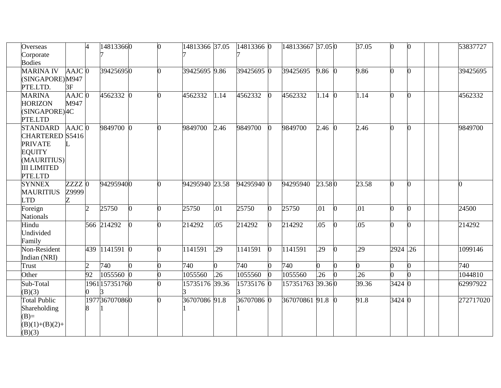| Overseas           |                     | $\overline{4}$ | 148133660      |    | O. | 14813366 37.05 |      | 14813366 0 |   | 148133667 37.05 0 |               |              | 37.05 |            | $\Omega$       | 53837727  |
|--------------------|---------------------|----------------|----------------|----|----|----------------|------|------------|---|-------------------|---------------|--------------|-------|------------|----------------|-----------|
| Corporate          |                     |                |                |    |    |                |      |            |   |                   |               |              |       |            |                |           |
| <b>Bodies</b>      |                     |                |                |    |    |                |      |            |   |                   |               |              |       |            |                |           |
| <b>MARINA IV</b>   | AAJC 0              |                | 394256950      |    |    | 39425695 9.86  |      | 39425695 0 |   | 39425695          | $9.86 \, 0$   |              | 9.86  |            | $\Omega$       | 39425695  |
| (SINGAPORE)M947    |                     |                |                |    |    |                |      |            |   |                   |               |              |       |            |                |           |
| PTE.LTD.           | 3F                  |                |                |    |    |                |      |            |   |                   |               |              |       |            |                |           |
| <b>MARINA</b>      | $AAJC$ <sub>0</sub> |                | 4562332 0      |    |    | 4562332        | 1.14 | 4562332    |   | 4562332           | $1.14 \; 0$   |              | 1.14  |            | $\overline{0}$ | 4562332   |
| <b>HORIZON</b>     | M947                |                |                |    |    |                |      |            |   |                   |               |              |       |            |                |           |
| (SINGAPORE) 4C     |                     |                |                |    |    |                |      |            |   |                   |               |              |       |            |                |           |
| PTE.LTD            |                     |                |                |    |    |                |      |            |   |                   |               |              |       |            |                |           |
| <b>STANDARD</b>    | $AAJC$ <sub>0</sub> |                | 9849700 0      |    |    | 9849700        | 2.46 | 9849700    |   | 9849700           | $2.46 \;\; 0$ |              | 2.46  |            | $\Omega$       | 9849700   |
| CHARTERED S5416    |                     |                |                |    |    |                |      |            |   |                   |               |              |       |            |                |           |
| <b>PRIVATE</b>     |                     |                |                |    |    |                |      |            |   |                   |               |              |       |            |                |           |
| <b>EQUITY</b>      |                     |                |                |    |    |                |      |            |   |                   |               |              |       |            |                |           |
| (MAURITIUS)        |                     |                |                |    |    |                |      |            |   |                   |               |              |       |            |                |           |
| <b>III LIMITED</b> |                     |                |                |    |    |                |      |            |   |                   |               |              |       |            |                |           |
|                    |                     |                |                |    |    |                |      |            |   |                   |               |              |       |            |                |           |
| PTE.LTD            |                     |                | 942959400      |    |    | 94295940 23.58 |      | 94295940 0 |   | 94295940          | 23.580        |              | 23.58 |            |                |           |
| <b>SYNNEX</b>      | ZZZZO               |                |                |    |    |                |      |            |   |                   |               |              |       |            | $\theta$       |           |
| <b>MAURITIUS</b>   | Z9999               |                |                |    |    |                |      |            |   |                   |               |              |       |            |                |           |
| <b>LTD</b>         |                     |                |                |    |    |                |      |            |   |                   |               |              |       |            |                |           |
| Foreign            |                     | $\overline{2}$ | 25750          | ∩  |    | 25750          | .01  | 25750      |   | 25750             | .01           | $\Omega$     | .01   |            | $\Omega$       | 24500     |
| <b>Nationals</b>   |                     |                |                |    |    |                |      |            |   |                   |               |              |       |            |                |           |
| Hindu              |                     |                | 566 214292     | O. | 0  | 214292         | .05  | 214292     | 0 | 214292            | .05           | <sup>0</sup> | .05   |            | $\Omega$       | 214292    |
| Undivided          |                     |                |                |    |    |                |      |            |   |                   |               |              |       |            |                |           |
| Family             |                     |                |                |    |    |                |      |            |   |                   |               |              |       |            |                |           |
| Non-Resident       |                     |                | 439 1141591 0  |    |    | 1141591        | .29  | 1141591    |   | 1141591           | .29           |              | .29   | $2924$ .26 |                | 1099146   |
| Indian (NRI)       |                     |                |                |    |    |                |      |            |   |                   |               |              |       |            |                |           |
| Trust              |                     | $\overline{2}$ | 740            | O. |    | 740            | O.   | 740        |   | 740               |               |              | 0     |            | O.             | 740       |
| Other              |                     | 92             | 1055560 0      |    |    | 1055560        | .26  | 1055560    |   | 1055560           | .26           |              | .26   |            | n.             | 1044810   |
| Sub-Total          |                     |                | 1961 157351760 |    |    | 15735176 39.36 |      | 15735176 0 |   | 157351763 39.360  |               |              | 39.36 | 3424 0     |                | 62997922  |
| (B)(3)             |                     |                |                |    |    |                |      |            |   |                   |               |              |       |            |                |           |
| Total Public       |                     |                | 1977367070860  |    |    | 36707086 91.8  |      | 36707086 0 |   | 367070861 91.8 0  |               |              | 91.8  | 3424 0     |                | 272717020 |
| Shareholding       |                     | 8              |                |    |    |                |      |            |   |                   |               |              |       |            |                |           |
| $(B)=$             |                     |                |                |    |    |                |      |            |   |                   |               |              |       |            |                |           |
| $(B)(1)+(B)(2)+$   |                     |                |                |    |    |                |      |            |   |                   |               |              |       |            |                |           |
| (B)(3)             |                     |                |                |    |    |                |      |            |   |                   |               |              |       |            |                |           |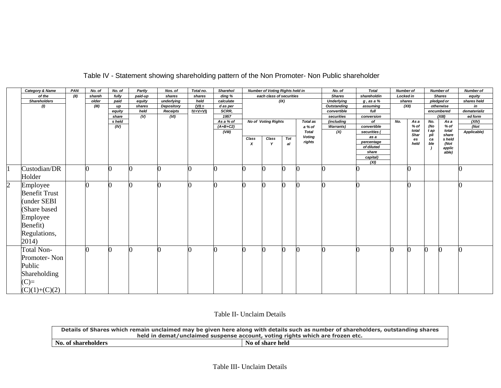|                | Category & Name      | PAN  | No. of | No. of         | Partly                    | Nos. of         | Total no.     | Sharehol          |       | <b>Number of Voting Rights held in</b> |      |                 | No. of                         | <b>Total</b>     | <b>Number of</b> |              |            | <b>Number of</b> | <b>Number of</b> |
|----------------|----------------------|------|--------|----------------|---------------------------|-----------------|---------------|-------------------|-------|----------------------------------------|------|-----------------|--------------------------------|------------------|------------------|--------------|------------|------------------|------------------|
|                | of the               | (II) | shareh | fully          | paid-up                   | shares          | shares        | ding %            |       | each class of securities               |      |                 | <b>Shares</b>                  | shareholdin      | <b>Locked in</b> |              |            | <b>Shares</b>    | equity           |
|                | <b>Shareholders</b>  |      | older  | paid           | equity                    | underlying      | held          | calculate         |       |                                        | (IX) |                 | <b>Underlying</b>              | $g$ , as a $%$   | shares           |              |            | pledged or       | shares held      |
|                | $\theta$             |      | (III)  | up             | shares                    | Depository      | $(VII =$      | d as per          |       |                                        |      |                 | <b>Outstanding</b>             | assuming         |                  | (XII)        |            | otherwise        | in               |
|                |                      |      |        | equity         | held                      | <b>Receipts</b> | $IV + V + VI$ | SCRR,             |       |                                        |      |                 | convertible                    | full             |                  |              |            | encumbered       | dematerializ     |
|                |                      |      |        | share          | $\overline{(\mathsf{V})}$ | (VI)            |               | 1957<br>As a % of |       | <b>No of Voting Rights</b>             |      | <b>Total as</b> | securities                     | conversion<br>of | No.              |              |            | (XIII)           | ed form          |
|                |                      |      |        | s held<br>(IV) |                           |                 |               | $(A+B+C2)$        |       |                                        |      | a % of          | (including<br><b>Warrants)</b> | convertible      |                  | As a<br>% of | No.<br>(No | As a<br>% of     | (XIV)<br>(Not    |
|                |                      |      |        |                |                           |                 |               | (VIII)            |       |                                        |      | <b>Total</b>    | (X)                            | securities (     |                  | total        | t ap       | total            | Applicable)      |
|                |                      |      |        |                |                           |                 |               |                   | Class | Class                                  | Tot  | <b>Voting</b>   |                                | as a             |                  | Shar         | pli        | share            |                  |
|                |                      |      |        |                |                           |                 |               |                   | X     | $\mathbf v$                            | al   | rights          |                                | percentage       |                  | es<br>held   | ca<br>ble  | s held<br>(Not   |                  |
|                |                      |      |        |                |                           |                 |               |                   |       |                                        |      |                 |                                | of diluted       |                  |              |            | applic           |                  |
|                |                      |      |        |                |                           |                 |               |                   |       |                                        |      |                 |                                | share            |                  |              |            | able)            |                  |
|                |                      |      |        |                |                           |                 |               |                   |       |                                        |      |                 |                                | capital)<br>(XI) |                  |              |            |                  |                  |
|                |                      |      |        |                |                           |                 |               | ∩                 |       |                                        |      |                 |                                |                  |                  |              |            |                  |                  |
|                | Custodian/DR         |      |        |                | O                         |                 |               |                   |       |                                        | 0    |                 |                                |                  |                  |              |            |                  |                  |
|                | Holder               |      |        |                |                           |                 |               |                   |       |                                        |      |                 |                                |                  |                  |              |            |                  |                  |
| $\overline{c}$ | Employee             |      |        |                |                           |                 |               |                   |       |                                        | O    |                 |                                |                  |                  |              |            |                  |                  |
|                | <b>Benefit Trust</b> |      |        |                |                           |                 |               |                   |       |                                        |      |                 |                                |                  |                  |              |            |                  |                  |
|                | (under SEBI          |      |        |                |                           |                 |               |                   |       |                                        |      |                 |                                |                  |                  |              |            |                  |                  |
|                |                      |      |        |                |                           |                 |               |                   |       |                                        |      |                 |                                |                  |                  |              |            |                  |                  |
|                | (Share based         |      |        |                |                           |                 |               |                   |       |                                        |      |                 |                                |                  |                  |              |            |                  |                  |
|                | Employee             |      |        |                |                           |                 |               |                   |       |                                        |      |                 |                                |                  |                  |              |            |                  |                  |
|                | Benefit)             |      |        |                |                           |                 |               |                   |       |                                        |      |                 |                                |                  |                  |              |            |                  |                  |
|                | Regulations,         |      |        |                |                           |                 |               |                   |       |                                        |      |                 |                                |                  |                  |              |            |                  |                  |
|                |                      |      |        |                |                           |                 |               |                   |       |                                        |      |                 |                                |                  |                  |              |            |                  |                  |
|                | 2014)                |      |        |                |                           |                 |               |                   |       |                                        |      |                 |                                |                  |                  |              |            |                  |                  |
|                | Total Non-           |      |        |                | O                         |                 | $\Omega$      | ∩                 |       |                                        | 0    |                 |                                |                  | ∩                |              | O          | n                | $\Omega$         |
|                | Promoter-Non         |      |        |                |                           |                 |               |                   |       |                                        |      |                 |                                |                  |                  |              |            |                  |                  |
|                |                      |      |        |                |                           |                 |               |                   |       |                                        |      |                 |                                |                  |                  |              |            |                  |                  |
|                | Public               |      |        |                |                           |                 |               |                   |       |                                        |      |                 |                                |                  |                  |              |            |                  |                  |
|                | Shareholding         |      |        |                |                           |                 |               |                   |       |                                        |      |                 |                                |                  |                  |              |            |                  |                  |
|                | $(C)=$               |      |        |                |                           |                 |               |                   |       |                                        |      |                 |                                |                  |                  |              |            |                  |                  |
|                | $(C)(1)+(C)(2)$      |      |        |                |                           |                 |               |                   |       |                                        |      |                 |                                |                  |                  |              |            |                  |                  |

## Table IV - Statement showing shareholding pattern of the Non Promoter- Non Public shareholder

Table II- Unclaim Details

| Details of Shares which remain unclaimed may be given here along with details such as number of shareholders, outstanding shares |                  |  |  |  |
|----------------------------------------------------------------------------------------------------------------------------------|------------------|--|--|--|
| held in demat/unclaimed suspense account, voting rights which are frozen etc.                                                    |                  |  |  |  |
| No. of shareholders                                                                                                              | No of share held |  |  |  |